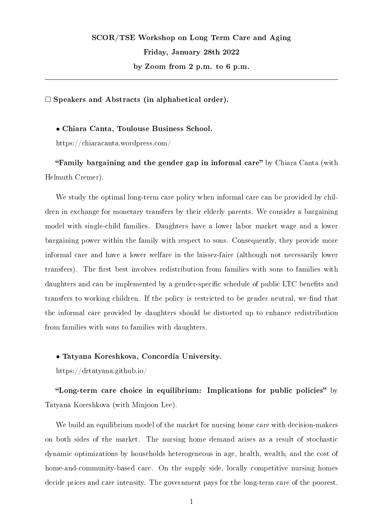# SCOR/TSE Workshop on Long Term Care and Aging Friday, January 28th 2022 by Zoom from 2 p.m. to 6 p.m.

 $\square$  Speakers and Abstracts (in alphabetical order).

• Chiara Canta, Toulouse Business School.

https://chiaracanta.wordpress.com/

**"Family bargaining and the gender gap in informal care"** by Chiara Canta (with Helmuth Cremer).

We study the optimal long-term care policy when informal care can be provided by children in exchange for monetary transfers by their elderly parents. We consider a bargaining model with single-child families. Daughters have a lower labor market wage and a lower bargaining power within the family with respect to sons. Consequently, they provide more informal care and have a lower welfare in the laissez-faire (although not necessarily lower transfers). The first best involves redistribution from families with sons to families with daughters and can be implemented by a gender-specific schedule of public LTC benefits and transfers to working children. If the policy is restricted to be gender neutral, we find that the informal care provided by daughters should be distorted up to enhance redistribution from families with sons to families with daughters.

• Tatyana Koreshkova, Concordia University.

https://drtatyana.github.io/

"Long-term care choice in equilibrium: Implications for public policies" by Tatyana Koreshkova (with Minjoon Lee).

We build an equilibrium model of the market for nursing home care with decision-makers on both sides of the market. The nursing home demand arises as a result of stochastic dynamic optimizations by households heterogeneous in age, health, wealth; and the cost of home-and-community-based care. On the supply side, locally competitive nursing homes decide prices and care intensity. The government pays for the long-term care of the poorest.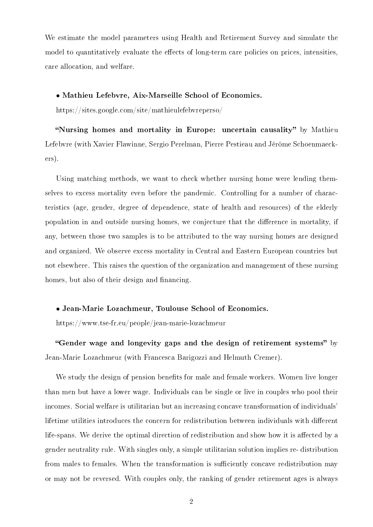We estimate the model parameters using Health and Retirement Survey and simulate the model to quantitatively evaluate the effects of long-term care policies on prices, intensities, care allocation, and welfare.

## • Mathieu Lefebvre, Aix-Marseille School of Economics.

https://sites.google.com/site/mathieulefebvreperso/

"Nursing homes and mortality in Europe: uncertain causality" by Mathieu Lefebvre (with Xavier Flawinne, Sergio Perelman, Pierre Pestieau and Jérôme Schoenmaeckers).

Using matching methods, we want to check whether nursing home were lending themselves to excess mortality even before the pandemic. Controlling for a number of characteristics (age, gender, degree of dependence, state of health and resources) of the elderly population in and outside nursing homes, we conjecture that the difference in mortality, if any, between those two samples is to be attributed to the way nursing homes are designed and organized. We observe excess mortality in Central and Eastern European countries but not elsewhere. This raises the question of the organization and management of these nursing homes, but also of their design and financing.

## • Jean-Marie Lozachmeur, Toulouse School of Economics.

https://www.tse-fr.eu/people/jean-marie-lozachmeur

"Gender wage and longevity gaps and the design of retirement systems" by Jean-Marie Lozachmeur (with Francesca Barigozzi and Helmuth Cremer).

We study the design of pension benefits for male and female workers. Women live longer than men but have a lower wage. Individuals can be single or live in couples who pool their incomes. Social welfare is utilitarian but an increasing concave transformation of individuals' lifetime utilities introduces the concern for redistribution between individuals with different life-spans. We derive the optimal direction of redistribution and show how it is affected by a gender neutrality rule. With singles only, a simple utilitarian solution implies re- distribution from males to females. When the transformation is sufficiently concave redistribution may or may not be reversed. With couples only, the ranking of gender retirement ages is always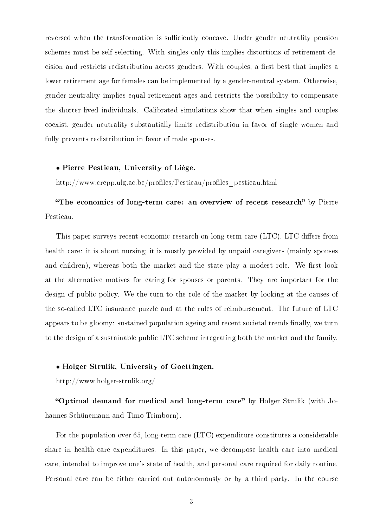reversed when the transformation is sufficiently concave. Under gender neutrality pension schemes must be self-selecting. With singles only this implies distortions of retirement decision and restricts redistribution across genders. With couples, a first best that implies a lower retirement age for females can be implemented by a gender-neutral system. Otherwise, gender neutrality implies equal retirement ages and restricts the possibility to compensate the shorter-lived individuals. Calibrated simulations show that when singles and couples coexist, gender neutrality substantially limits redistribution in favor of single women and fully prevents redistribution in favor of male spouses.

#### • Pierre Pestieau, University of Liège.

http://www.crepp.ulg.ac.be/profiles/Pestieau/profiles\_pestieau.html

"The economics of long-term care: an overview of recent research" by Pierre Pestieau.

This paper surveys recent economic research on long-term care (LTC). LTC differs from health care: it is about nursing; it is mostly provided by unpaid caregivers (mainly spouses and children), whereas both the market and the state play a modest role. We first look at the alternative motives for caring for spouses or parents. They are important for the design of public policy. We the turn to the role of the market by looking at the causes of the so-called LTC insurance puzzle and at the rules of reimbursement. The future of LTC appears to be gloomy: sustained population ageing and recent societal trends finally, we turn to the design of a sustainable public LTC scheme integrating both the market and the family.

#### • Holger Strulik, University of Goettingen.

http://www.holger-strulik.org/

"Optimal demand for medical and long-term care" by Holger Strulik (with Johannes Schünemann and Timo Trimborn).

For the population over 65, long-term care (LTC) expenditure constitutes a considerable share in health care expenditures. In this paper, we decompose health care into medical care, intended to improve one's state of health, and personal care required for daily routine. Personal care can be either carried out autonomously or by a third party. In the course